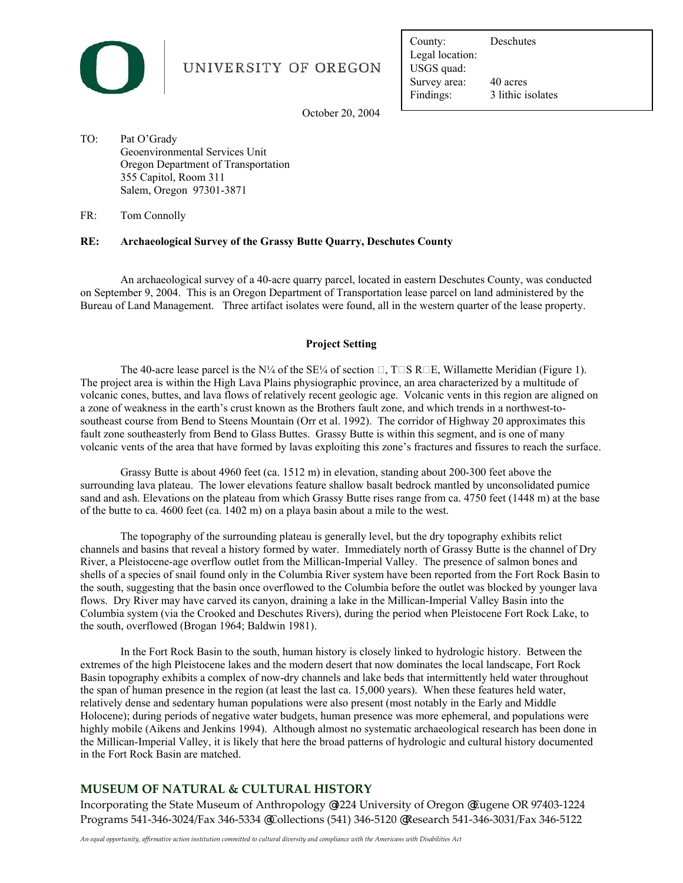

# UNIVERSITY OF OREGON

Legal location:<br>USGS quad:<br>Survey area: 40 acres USGS quad: County: Deschutes Findings: 3 lithic isolates

October 20, 2004

TO: Pat O'Grady Geoenvironmental Services Unit Oregon Department of Transportation 355 Capitol, Room 311 Salem, Oregon 97301-3871

FR: Tom Connolly

## **RE: Archaeological Survey of the Grassy Butte Quarry, Deschutes County**

 on September 9, 2004. This is an Oregon Department of Transportation lease parcel on land administered by the An archaeological survey of a 40-acre quarry parcel, located in eastern Deschutes County, was conducted Bureau of Land Management. Three artifact isolates were found, all in the western quarter of the lease property.

## **Project Setting**

 The project area is within the High Lava Plains physiographic province, an area characterized by a multitude of volcanic cones, buttes, and lava flows of relatively recent geologic age. Volcanic vents in this region are aligned on southeast course from Bend to Steens Mountain (Orr et al. 1992). The corridor of Highway 20 approximates this The 40-acre lease parcel is the N¼ of the SE¼ of section  $\Box$ , T $\Box$ S R $\Box$ E, Willamette Meridian (Figure 1). a zone of weakness in the earth's crust known as the Brothers fault zone, and which trends in a northwest-tofault zone southeasterly from Bend to Glass Buttes. Grassy Butte is within this segment, and is one of many volcanic vents of the area that have formed by lavas exploiting this zone's fractures and fissures to reach the surface.

 Grassy Butte is about 4960 feet (ca. 1512 m) in elevation, standing about 200-300 feet above the surrounding lava plateau. The lower elevations feature shallow basalt bedrock mantled by unconsolidated pumice sand and ash. Elevations on the plateau from which Grassy Butte rises range from ca. 4750 feet (1448 m) at the base of the butte to ca. 4600 feet (ca. 1402 m) on a playa basin about a mile to the west.

 channels and basins that reveal a history formed by water. Immediately north of Grassy Butte is the channel of Dry River, a Pleistocene-age overflow outlet from the Millican-Imperial Valley. The presence of salmon bones and The topography of the surrounding plateau is generally level, but the dry topography exhibits relict shells of a species of snail found only in the Columbia River system have been reported from the Fort Rock Basin to the south, suggesting that the basin once overflowed to the Columbia before the outlet was blocked by younger lava flows. Dry River may have carved its canyon, draining a lake in the Millican-Imperial Valley Basin into the Columbia system (via the Crooked and Deschutes Rivers), during the period when Pleistocene Fort Rock Lake, to the south, overflowed (Brogan 1964; Baldwin 1981).

 relatively dense and sedentary human populations were also present (most notably in the Early and Middle highly mobile (Aikens and Jenkins 1994). Although almost no systematic archaeological research has been done in In the Fort Rock Basin to the south, human history is closely linked to hydrologic history. Between the extremes of the high Pleistocene lakes and the modern desert that now dominates the local landscape, Fort Rock Basin topography exhibits a complex of now-dry channels and lake beds that intermittently held water throughout the span of human presence in the region (at least the last ca. 15,000 years). When these features held water, Holocene); during periods of negative water budgets, human presence was more ephemeral, and populations were the Millican-Imperial Valley, it is likely that here the broad patterns of hydrologic and cultural history documented in the Fort Rock Basin are matched.

## **MUSEUM OF NATURAL & CULTURAL HISTORY**

 Incorporating the State Museum of Anthropology @ 1224 University of Oregon @ Eugene OR 97403-1224 Programs 541-346-3024/Fax 346-5334 @ Collections (541) 346-5120 @ Research 541-346-3031/Fax 346-5122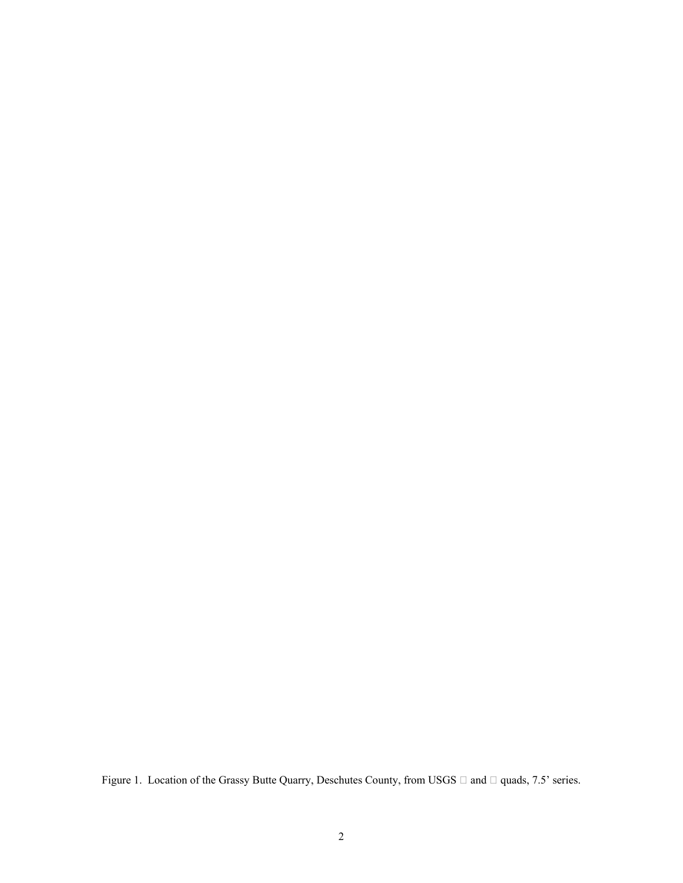Figure 1. Location of the Grassy Butte Quarry, Deschutes County, from USGS  $\Box$  and  $\Box$  quads, 7.5' series.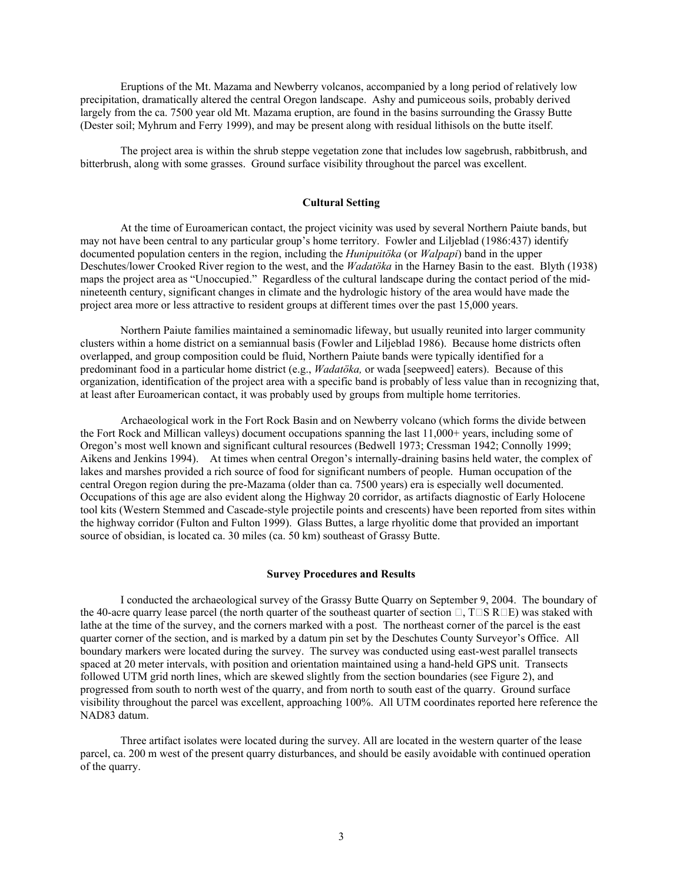precipitation, dramatically altered the central Oregon landscape. Ashy and pumiceous soils, probably derived (Dester soil; Myhrum and Ferry 1999), and may be present along with residual lithisols on the butte itself. Eruptions of the Mt. Mazama and Newberry volcanos, accompanied by a long period of relatively low largely from the ca. 7500 year old Mt. Mazama eruption, are found in the basins surrounding the Grassy Butte

The project area is within the shrub steppe vegetation zone that includes low sagebrush, rabbitbrush, and bitterbrush, along with some grasses. Ground surface visibility throughout the parcel was excellent.

#### **Cultural Setting**

 At the time of Euroamerican contact, the project vicinity was used by several Northern Paiute bands, but may not have been central to any particular group's home territory. Fowler and Liljeblad (1986:437) identify documented population centers in the region, including the *Hunipuitöka* (or *Walpapi*) band in the upper Deschutes/lower Crooked River region to the west, and the *Wadatöka* in the Harney Basin to the east. Blyth (1938) maps the project area as "Unoccupied." Regardless of the cultural landscape during the contact period of the midnineteenth century, significant changes in climate and the hydrologic history of the area would have made the project area more or less attractive to resident groups at different times over the past 15,000 years.

 overlapped, and group composition could be fluid, Northern Paiute bands were typically identified for a at least after Euroamerican contact, it was probably used by groups from multiple home territories. Northern Paiute families maintained a seminomadic lifeway, but usually reunited into larger community clusters within a home district on a semiannual basis (Fowler and Liljeblad 1986). Because home districts often predominant food in a particular home district (e.g., *Wadatöka,* or wada [seepweed] eaters). Because of this organization, identification of the project area with a specific band is probably of less value than in recognizing that,

 Aikens and Jenkins 1994). At times when central Oregon's internally-draining basins held water, the complex of tool kits (Western Stemmed and Cascade-style projectile points and crescents) have been reported from sites within Archaeological work in the Fort Rock Basin and on Newberry volcano (which forms the divide between the Fort Rock and Millican valleys) document occupations spanning the last 11,000+ years, including some of Oregon's most well known and significant cultural resources (Bedwell 1973; Cressman 1942; Connolly 1999; lakes and marshes provided a rich source of food for significant numbers of people. Human occupation of the central Oregon region during the pre-Mazama (older than ca. 7500 years) era is especially well documented. Occupations of this age are also evident along the Highway 20 corridor, as artifacts diagnostic of Early Holocene the highway corridor (Fulton and Fulton 1999). Glass Buttes, a large rhyolitic dome that provided an important source of obsidian, is located ca. 30 miles (ca. 50 km) southeast of Grassy Butte.

#### **Survey Procedures and Results**

 I conducted the archaeological survey of the Grassy Butte Quarry on September 9, 2004. The boundary of followed UTM grid north lines, which are skewed slightly from the section boundaries (see Figure 2), and the 40-acre quarry lease parcel (the north quarter of the southeast quarter of section  $\Box$ , T $\Box$ S R $\Box$ E) was staked with lathe at the time of the survey, and the corners marked with a post. The northeast corner of the parcel is the east quarter corner of the section, and is marked by a datum pin set by the Deschutes County Surveyor's Office. All boundary markers were located during the survey. The survey was conducted using east-west parallel transects spaced at 20 meter intervals, with position and orientation maintained using a hand-held GPS unit. Transects progressed from south to north west of the quarry, and from north to south east of the quarry. Ground surface visibility throughout the parcel was excellent, approaching 100%. All UTM coordinates reported here reference the NAD83 datum.

 parcel, ca. 200 m west of the present quarry disturbances, and should be easily avoidable with continued operation Three artifact isolates were located during the survey. All are located in the western quarter of the lease of the quarry.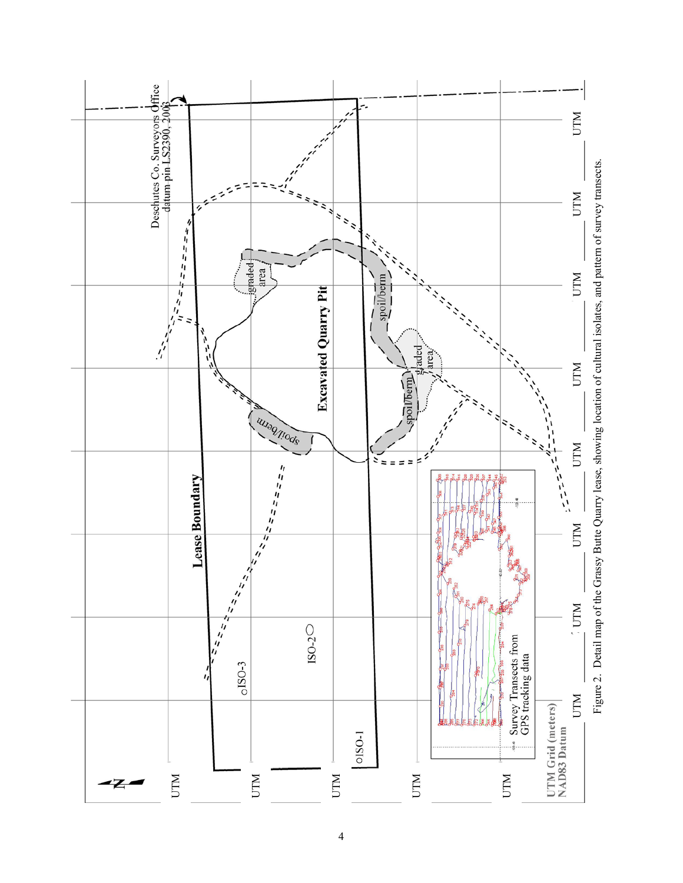

4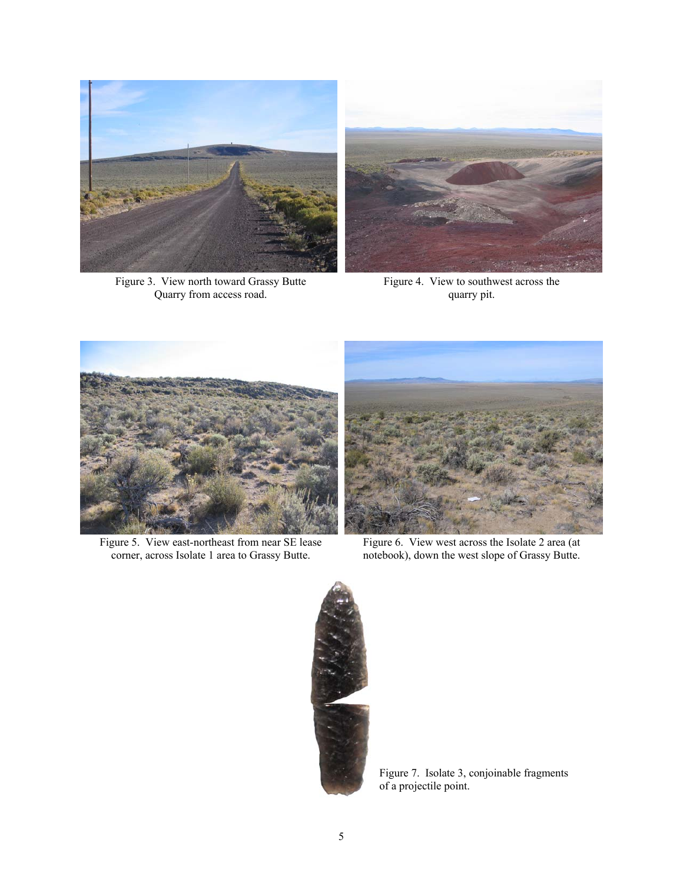

Figure 3. View north toward Grassy Butte Figure 4. View to southwest across the Quarry from access road.  $q$ quarry pit.





Figure 5. View east-northeast from near SE lease Figure 6. View west across the Isolate 2 area (at corner, across Isolate 1 area to Grassy Butte. notebook), down the west slope of Grassy Butte.



corner, across Isolate 1 area to Grassy Butte. notebook), down the west slope of Grassy Butte.



Figure 7. Isolate 3, conjoinable fragments of a projectile point.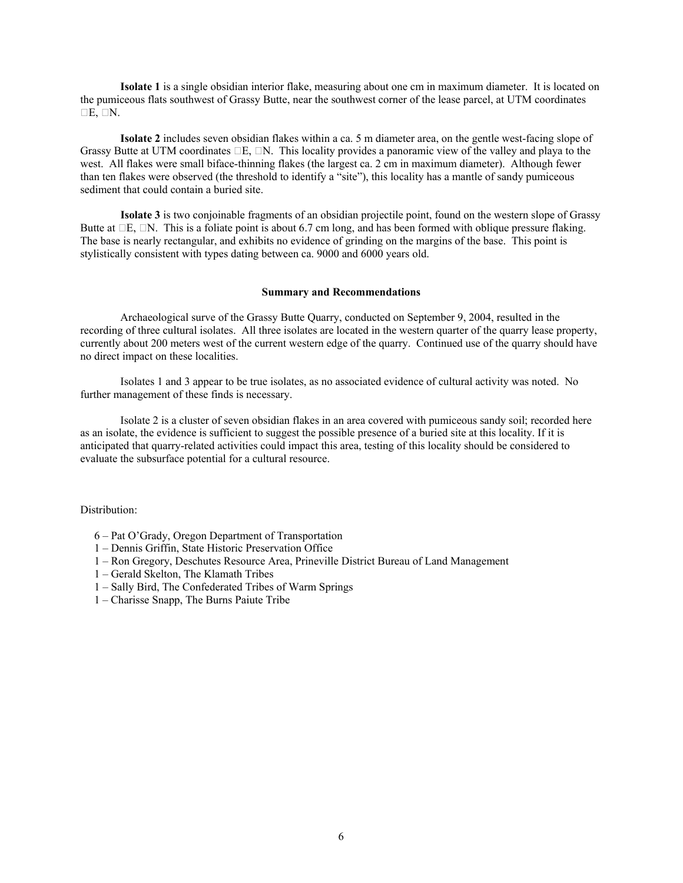**Isolate 1** is a single obsidian interior flake, measuring about one cm in maximum diameter. It is located on the pumiceous flats southwest of Grassy Butte, near the southwest corner of the lease parcel, at UTM coordinates  $\Box E$ ,  $\Box N$ .

 **Isolate 2** includes seven obsidian flakes within a ca. 5 m diameter area, on the gentle west-facing slope of Grassy Butte at UTM coordinates  $\Box E$ ,  $\Box N$ . This locality provides a panoramic view of the valley and playa to the west. All flakes were small biface-thinning flakes (the largest ca. 2 cm in maximum diameter). Although fewer than ten flakes were observed (the threshold to identify a "site"), this locality has a mantle of sandy pumiceous sediment that could contain a buried site.

Butte at  $\Box E$ ,  $\Box N$ . This is a foliate point is about 6.7 cm long, and has been formed with oblique pressure flaking. The base is nearly rectangular, and exhibits no evidence of grinding on the margins of the base. This point is **Isolate 3** is two conjoinable fragments of an obsidian projectile point, found on the western slope of Grassy stylistically consistent with types dating between ca. 9000 and 6000 years old.

#### **Summary and Recommendations**

Archaeological surve of the Grassy Butte Quarry, conducted on September 9, 2004, resulted in the recording of three cultural isolates. All three isolates are located in the western quarter of the quarry lease property, currently about 200 meters west of the current western edge of the quarry. Continued use of the quarry should have no direct impact on these localities.

Isolates 1 and 3 appear to be true isolates, as no associated evidence of cultural activity was noted. No further management of these finds is necessary.

Isolate 2 is a cluster of seven obsidian flakes in an area covered with pumiceous sandy soil; recorded here as an isolate, the evidence is sufficient to suggest the possible presence of a buried site at this locality. If it is anticipated that quarry-related activities could impact this area, testing of this locality should be considered to evaluate the subsurface potential for a cultural resource.

Distribution:

- 6 Pat O'Grady, Oregon Department of Transportation
- 1 Dennis Griffin, State Historic Preservation Office
- 1 Ron Gregory, Deschutes Resource Area, Prineville District Bureau of Land Management
- 1 Gerald Skelton, The Klamath Tribes
- 1 Sally Bird, The Confederated Tribes of Warm Springs
- 1 Charisse Snapp, The Burns Paiute Tribe